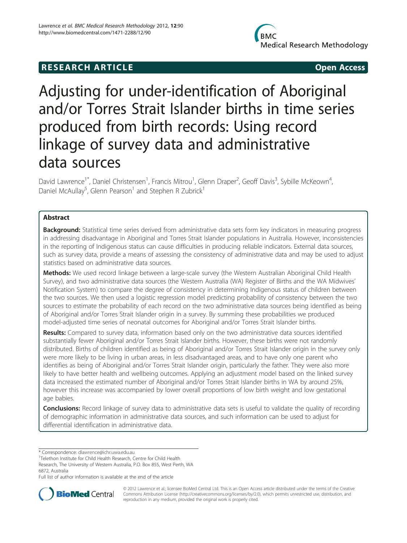## **RESEARCH ARTICLE CONSUMING A RESEARCH ARTICLE**

# Adjusting for under-identification of Aboriginal and/or Torres Strait Islander births in time series produced from birth records: Using record linkage of survey data and administrative data sources

David Lawrence<sup>1\*</sup>, Daniel Christensen<sup>1</sup>, Francis Mitrou<sup>1</sup>, Glenn Draper<sup>2</sup>, Geoff Davis<sup>3</sup>, Sybille McKeown<sup>4</sup> , Daniel McAullay<sup>5</sup>, Glenn Pearson<sup>1</sup> and Stephen R Zubrick<sup>1</sup>

## Abstract

Background: Statistical time series derived from administrative data sets form key indicators in measuring progress in addressing disadvantage in Aboriginal and Torres Strait Islander populations in Australia. However, inconsistencies in the reporting of Indigenous status can cause difficulties in producing reliable indicators. External data sources, such as survey data, provide a means of assessing the consistency of administrative data and may be used to adjust statistics based on administrative data sources.

Methods: We used record linkage between a large-scale survey (the Western Australian Aboriginal Child Health Survey), and two administrative data sources (the Western Australia (WA) Register of Births and the WA Midwives' Notification System) to compare the degree of consistency in determining Indigenous status of children between the two sources. We then used a logistic regression model predicting probability of consistency between the two sources to estimate the probability of each record on the two administrative data sources being identified as being of Aboriginal and/or Torres Strait Islander origin in a survey. By summing these probabilities we produced model-adjusted time series of neonatal outcomes for Aboriginal and/or Torres Strait Islander births.

Results: Compared to survey data, information based only on the two administrative data sources identified substantially fewer Aboriginal and/or Torres Strait Islander births. However, these births were not randomly distributed. Births of children identified as being of Aboriginal and/or Torres Strait Islander origin in the survey only were more likely to be living in urban areas, in less disadvantaged areas, and to have only one parent who identifies as being of Aboriginal and/or Torres Strait Islander origin, particularly the father. They were also more likely to have better health and wellbeing outcomes. Applying an adjustment model based on the linked survey data increased the estimated number of Aboriginal and/or Torres Strait Islander births in WA by around 25%, however this increase was accompanied by lower overall proportions of low birth weight and low gestational age babies.

Conclusions: Record linkage of survey data to administrative data sets is useful to validate the quality of recording of demographic information in administrative data sources, and such information can be used to adjust for differential identification in administrative data.

\* Correspondence: [dlawrence@ichr.uwa.edu.au](mailto:dlawrence@ichr.uwa.edu.au) <sup>1</sup>

<sup>1</sup>Telethon Institute for Child Health Research, Centre for Child Health

Research, The University of Western Australia, P.O. Box 855, West Perth, WA 6872, Australia

Full list of author information is available at the end of the article



© 2012 Lawrence et al.; licensee BioMed Central Ltd. This is an Open Access article distributed under the terms of the Creative Commons Attribution License [\(http://creativecommons.org/licenses/by/2.0\)](http://creativecommons.org/licenses/by/2.0), which permits unrestricted use, distribution, and reproduction in any medium, provided the original work is properly cited.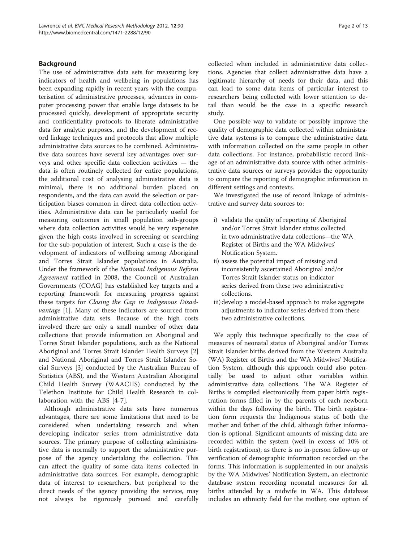#### Background

The use of administrative data sets for measuring key indicators of health and wellbeing in populations has been expanding rapidly in recent years with the computerisation of administrative processes, advances in computer processing power that enable large datasets to be processed quickly, development of appropriate security and confidentiality protocols to liberate administrative data for analytic purposes, and the development of record linkage techniques and protocols that allow multiple administrative data sources to be combined. Administrative data sources have several key advantages over surveys and other specific data collection activities — the data is often routinely collected for entire populations, the additional cost of analysing administrative data is minimal, there is no additional burden placed on respondents, and the data can avoid the selection or participation biases common in direct data collection activities. Administrative data can be particularly useful for measuring outcomes in small population sub-groups where data collection activities would be very expensive given the high costs involved in screening or searching for the sub-population of interest. Such a case is the development of indicators of wellbeing among Aboriginal and Torres Strait Islander populations in Australia. Under the framework of the National Indigenous Reform Agreement ratified in 2008, the Council of Australian Governments (COAG) has established key targets and a reporting framework for measuring progress against these targets for Closing the Gap in Indigenous Disadvantage [\[1](#page-12-0)]. Many of these indicators are sourced from administrative data sets. Because of the high costs involved there are only a small number of other data collections that provide information on Aboriginal and Torres Strait Islander populations, such as the National Aboriginal and Torres Strait Islander Health Surveys [\[2](#page-12-0)] and National Aboriginal and Torres Strait Islander Social Surveys [\[3](#page-12-0)] conducted by the Australian Bureau of Statistics (ABS), and the Western Australian Aboriginal Child Health Survey (WAACHS) conducted by the Telethon Institute for Child Health Research in collaboration with the ABS [[4-7](#page-12-0)].

Although administrative data sets have numerous advantages, there are some limitations that need to be considered when undertaking research and when developing indicator series from administrative data sources. The primary purpose of collecting administrative data is normally to support the administrative purpose of the agency undertaking the collection. This can affect the quality of some data items collected in administrative data sources. For example, demographic data of interest to researchers, but peripheral to the direct needs of the agency providing the service, may not always be rigorously pursued and carefully collected when included in administrative data collections. Agencies that collect administrative data have a legitimate hierarchy of needs for their data, and this can lead to some data items of particular interest to researchers being collected with lower attention to detail than would be the case in a specific research study.

One possible way to validate or possibly improve the quality of demographic data collected within administrative data systems is to compare the administrative data with information collected on the same people in other data collections. For instance, probabilistic record linkage of an administrative data source with other administrative data sources or surveys provides the opportunity to compare the reporting of demographic information in different settings and contexts.

We investigated the use of record linkage of administrative and survey data sources to:

- i) validate the quality of reporting of Aboriginal and/or Torres Strait Islander status collected in two administrative data collections—the WA Register of Births and the WA Midwives' Notification System.
- ii) assess the potential impact of missing and inconsistently ascertained Aboriginal and/or Torres Strait Islander status on indicator series derived from these two administrative collections.
- iii) develop a model-based approach to make aggregate adjustments to indicator series derived from these two administrative collections.

We apply this technique specifically to the case of measures of neonatal status of Aboriginal and/or Torres Strait Islander births derived from the Western Australia (WA) Register of Births and the WA Midwives' Notification System, although this approach could also potentially be used to adjust other variables within administrative data collections. The WA Register of Births is compiled electronically from paper birth registration forms filled in by the parents of each newborn within the days following the birth. The birth registration form requests the Indigenous status of both the mother and father of the child, although father information is optional. Significant amounts of missing data are recorded within the system (well in excess of 10% of birth registrations), as there is no in-person follow-up or verification of demographic information recorded on the forms. This information is supplemented in our analysis by the WA Midwives' Notification System, an electronic database system recording neonatal measures for all births attended by a midwife in WA. This database includes an ethnicity field for the mother, one option of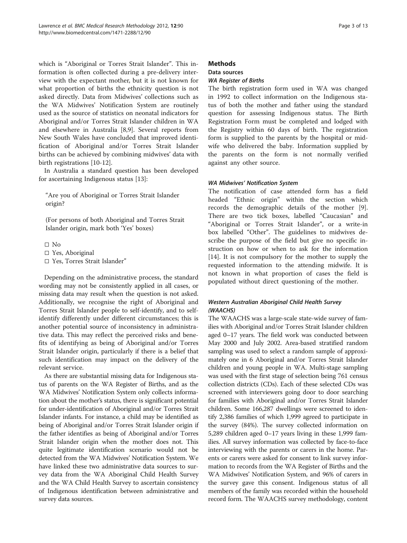which is "Aboriginal or Torres Strait Islander". This information is often collected during a pre-delivery interview with the expectant mother, but it is not known for what proportion of births the ethnicity question is not asked directly. Data from Midwives' collections such as the WA Midwives' Notification System are routinely used as the source of statistics on neonatal indicators for Aboriginal and/or Torres Strait Islander children in WA and elsewhere in Australia [[8,9\]](#page-12-0). Several reports from New South Wales have concluded that improved identification of Aboriginal and/or Torres Strait Islander births can be achieved by combining midwives' data with birth registrations [\[10-12](#page-12-0)].

In Australia a standard question has been developed for ascertaining Indigenous status [\[13\]](#page-12-0):

"Are you of Aboriginal or Torres Strait Islander origin?

(For persons of both Aboriginal and Torres Strait Islander origin, mark both 'Yes' boxes)

□ No

□ Yes, Aboriginal

□ Yes, Torres Strait Islander"

Depending on the administrative process, the standard wording may not be consistently applied in all cases, or missing data may result when the question is not asked. Additionally, we recognise the right of Aboriginal and Torres Strait Islander people to self-identify, and to selfidentify differently under different circumstances; this is another potential source of inconsistency in administrative data. This may reflect the perceived risks and benefits of identifying as being of Aboriginal and/or Torres Strait Islander origin, particularly if there is a belief that such identification may impact on the delivery of the relevant service.

As there are substantial missing data for Indigenous status of parents on the WA Register of Births, and as the WA Midwives' Notification System only collects information about the mother's status, there is significant potential for under-identification of Aboriginal and/or Torres Strait Islander infants. For instance, a child may be identified as being of Aboriginal and/or Torres Strait Islander origin if the father identifies as being of Aboriginal and/or Torres Strait Islander origin when the mother does not. This quite legitimate identification scenario would not be detected from the WA Midwives' Notification System. We have linked these two administrative data sources to survey data from the WA Aboriginal Child Health Survey and the WA Child Health Survey to ascertain consistency of Indigenous identification between administrative and survey data sources.

#### **Methods**

#### Data sources WA Register of Births

The birth registration form used in WA was changed in 1992 to collect information on the Indigenous status of both the mother and father using the standard question for assessing Indigenous status. The Birth Registration Form must be completed and lodged with the Registry within 60 days of birth. The registration form is supplied to the parents by the hospital or midwife who delivered the baby. Information supplied by the parents on the form is not normally verified against any other source.

#### WA Midwives' Notification System

The notification of case attended form has a field headed "Ethnic origin" within the section which records the demographic details of the mother [\[9](#page-12-0)]. There are two tick boxes, labelled "Caucasian" and "Aboriginal or Torres Strait Islander", or a write-in box labelled "Other". The guidelines to midwives describe the purpose of the field but give no specific instruction on how or when to ask for the information [[14\]](#page-12-0). It is not compulsory for the mother to supply the requested information to the attending midwife. It is not known in what proportion of cases the field is populated without direct questioning of the mother.

## Western Australian Aboriginal Child Health Survey (WAACHS)

The WAACHS was a large-scale state-wide survey of families with Aboriginal and/or Torres Strait Islander children aged 0–17 years. The field work was conducted between May 2000 and July 2002. Area-based stratified random sampling was used to select a random sample of approximately one in 6 Aboriginal and/or Torres Strait Islander children and young people in WA. Multi-stage sampling was used with the first stage of selection being 761 census collection districts (CDs). Each of these selected CDs was screened with interviewers going door to door searching for families with Aboriginal and/or Torres Strait Islander children. Some 166,287 dwellings were screened to identify 2,386 families of which 1,999 agreed to participate in the survey (84%). The survey collected information on 5,289 children aged 0–17 years living in these 1,999 families. All survey information was collected by face-to-face interviewing with the parents or carers in the home. Parents or carers were asked for consent to link survey information to records from the WA Register of Births and the WA Midwives' Notification System, and 96% of carers in the survey gave this consent. Indigenous status of all members of the family was recorded within the household record form. The WAACHS survey methodology, content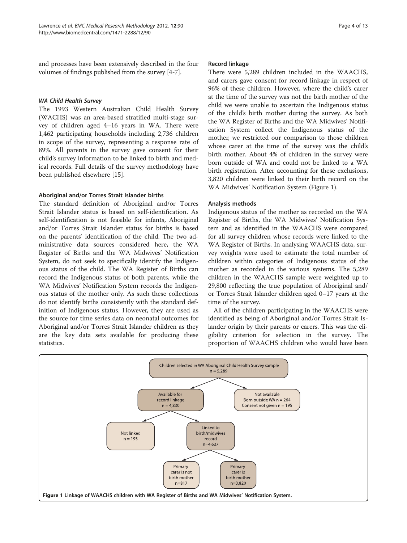and processes have been extensively described in the four volumes of findings published from the survey [\[4](#page-12-0)-[7\]](#page-12-0).

#### WA Child Health Survey

The 1993 Western Australian Child Health Survey (WACHS) was an area-based stratified multi-stage survey of children aged 4–16 years in WA. There were 1,462 participating households including 2,736 children in scope of the survey, representing a response rate of 89%. All parents in the survey gave consent for their child's survey information to be linked to birth and medical records. Full details of the survey methodology have been published elsewhere [\[15](#page-12-0)].

## Aboriginal and/or Torres Strait Islander births

The standard definition of Aboriginal and/or Torres Strait Islander status is based on self-identification. As self-identification is not feasible for infants, Aboriginal and/or Torres Strait Islander status for births is based on the parents' identification of the child. The two administrative data sources considered here, the WA Register of Births and the WA Midwives' Notification System, do not seek to specifically identify the Indigenous status of the child. The WA Register of Births can record the Indigenous status of both parents, while the WA Midwives' Notification System records the Indigenous status of the mother only. As such these collections do not identify births consistently with the standard definition of Indigenous status. However, they are used as the source for time series data on neonatal outcomes for Aboriginal and/or Torres Strait Islander children as they are the key data sets available for producing these statistics.

#### Record linkage

There were 5,289 children included in the WAACHS, and carers gave consent for record linkage in respect of 96% of these children. However, where the child's carer at the time of the survey was not the birth mother of the child we were unable to ascertain the Indigenous status of the child's birth mother during the survey. As both the WA Register of Births and the WA Midwives' Notification System collect the Indigenous status of the mother, we restricted our comparison to those children whose carer at the time of the survey was the child's birth mother. About 4% of children in the survey were born outside of WA and could not be linked to a WA birth registration. After accounting for these exclusions, 3,820 children were linked to their birth record on the WA Midwives' Notification System (Figure 1).

#### Analysis methods

Indigenous status of the mother as recorded on the WA Register of Births, the WA Midwives' Notification System and as identified in the WAACHS were compared for all survey children whose records were linked to the WA Register of Births. In analysing WAACHS data, survey weights were used to estimate the total number of children within categories of Indigenous status of the mother as recorded in the various systems. The 5,289 children in the WAACHS sample were weighted up to 29,800 reflecting the true population of Aboriginal and/ or Torres Strait Islander children aged 0–17 years at the time of the survey.

All of the children participating in the WAACHS were identified as being of Aboriginal and/or Torres Strait Islander origin by their parents or carers. This was the eligibility criterion for selection in the survey. The proportion of WAACHS children who would have been

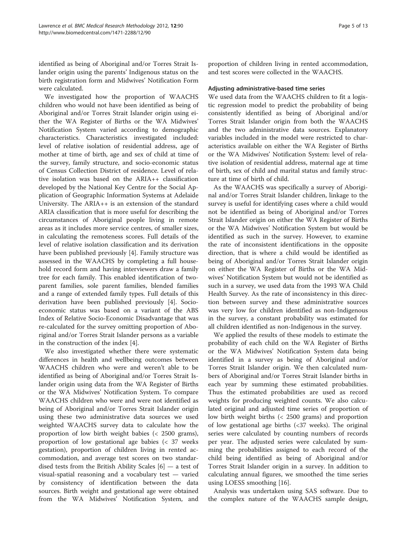identified as being of Aboriginal and/or Torres Strait Islander origin using the parents' Indigenous status on the birth registration form and Midwives' Notification Form were calculated.

We investigated how the proportion of WAACHS children who would not have been identified as being of Aboriginal and/or Torres Strait Islander origin using either the WA Register of Births or the WA Midwives' Notification System varied according to demographic characteristics. Characteristics investigated included: level of relative isolation of residential address, age of mother at time of birth, age and sex of child at time of the survey, family structure, and socio-economic status of Census Collection District of residence. Level of relative isolation was based on the ARIA++ classification developed by the National Key Centre for the Social Application of Geographic Information Systems at Adelaide University. The ARIA++ is an extension of the standard ARIA classification that is more useful for describing the circumstances of Aboriginal people living in remote areas as it includes more service centres, of smaller sizes, in calculating the remoteness scores. Full details of the level of relative isolation classification and its derivation have been published previously [[4\]](#page-12-0). Family structure was assessed in the WAACHS by completing a full household record form and having interviewers draw a family tree for each family. This enabled identification of twoparent families, sole parent families, blended families and a range of extended family types. Full details of this derivation have been published previously [[4\]](#page-12-0). Socioeconomic status was based on a variant of the ABS Index of Relative Socio-Economic Disadvantage that was re-calculated for the survey omitting proportion of Aboriginal and/or Torres Strait Islander persons as a variable in the construction of the index [\[4](#page-12-0)].

We also investigated whether there were systematic differences in health and wellbeing outcomes between WAACHS children who were and weren't able to be identified as being of Aboriginal and/or Torres Strait Islander origin using data from the WA Register of Births or the WA Midwives' Notification System. To compare WAACHS children who were and were not identified as being of Aboriginal and/or Torres Strait Islander origin using these two administrative data sources we used weighted WAACHS survey data to calculate how the proportion of low birth weight babies (< 2500 grams), proportion of low gestational age babies (< 37 weeks gestation), proportion of children living in rented accommodation, and average test scores on two standardised tests from the British Ability Scales [[6\]](#page-12-0) — a test of visual-spatial reasoning and a vocabulary test — varied by consistency of identification between the data sources. Birth weight and gestational age were obtained from the WA Midwives' Notification System, and

proportion of children living in rented accommodation, and test scores were collected in the WAACHS.

#### Adjusting administrative-based time series

We used data from the WAACHS children to fit a logistic regression model to predict the probability of being consistently identified as being of Aboriginal and/or Torres Strait Islander origin from both the WAACHS and the two administrative data sources. Explanatory variables included in the model were restricted to characteristics available on either the WA Register of Births or the WA Midwives' Notification System: level of relative isolation of residential address, maternal age at time of birth, sex of child and marital status and family structure at time of birth of child.

As the WAACHS was specifically a survey of Aboriginal and/or Torres Strait Islander children, linkage to the survey is useful for identifying cases where a child would not be identified as being of Aboriginal and/or Torres Strait Islander origin on either the WA Register of Births or the WA Midwives' Notification System but would be identified as such in the survey. However, to examine the rate of inconsistent identifications in the opposite direction, that is where a child would be identified as being of Aboriginal and/or Torres Strait Islander origin on either the WA Register of Births or the WA Midwives' Notification System but would not be identified as such in a survey, we used data from the 1993 WA Child Health Survey. As the rate of inconsistency in this direction between survey and these administrative sources was very low for children identified as non-Indigenous in the survey, a constant probability was estimated for all children identified as non-Indigenous in the survey.

We applied the results of these models to estimate the probability of each child on the WA Register of Births or the WA Midwives' Notification System data being identified in a survey as being of Aboriginal and/or Torres Strait Islander origin. We then calculated numbers of Aboriginal and/or Torres Strait Islander births in each year by summing these estimated probabilities. Thus the estimated probabilities are used as record weights for producing weighted counts. We also calculated original and adjusted time series of proportion of low birth weight births (< 2500 grams) and proportion of low gestational age births (<37 weeks). The original series were calculated by counting numbers of records per year. The adjusted series were calculated by summing the probabilities assigned to each record of the child being identified as being of Aboriginal and/or Torres Strait Islander origin in a survey. In addition to calculating annual figures, we smoothed the time series using LOESS smoothing [[16](#page-12-0)].

Analysis was undertaken using SAS software. Due to the complex nature of the WAACHS sample design,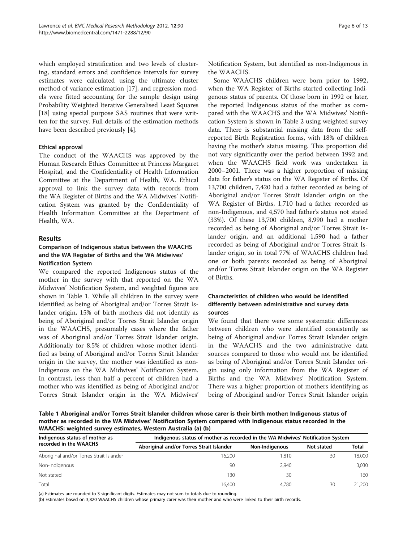which employed stratification and two levels of clustering, standard errors and confidence intervals for survey estimates were calculated using the ultimate cluster method of variance estimation [[17\]](#page-12-0), and regression models were fitted accounting for the sample design using Probability Weighted Iterative Generalised Least Squares [[18\]](#page-12-0) using special purpose SAS routines that were written for the survey. Full details of the estimation methods have been described previously [[4\]](#page-12-0).

#### Ethical approval

The conduct of the WAACHS was approved by the Human Research Ethics Committee at Princess Margaret Hospital, and the Confidentiality of Health Information Committee at the Department of Health, WA. Ethical approval to link the survey data with records from the WA Register of Births and the WA Midwives' Notification System was granted by the Confidentiality of Health Information Committee at the Department of Health, WA.

## **Results**

## Comparison of Indigenous status between the WAACHS and the WA Register of Births and the WA Midwives' Notification System

We compared the reported Indigenous status of the mother in the survey with that reported on the WA Midwives' Notification System, and weighted figures are shown in Table 1. While all children in the survey were identified as being of Aboriginal and/or Torres Strait Islander origin, 15% of birth mothers did not identify as being of Aboriginal and/or Torres Strait Islander origin in the WAACHS, presumably cases where the father was of Aboriginal and/or Torres Strait Islander origin. Additionally for 8.5% of children whose mother identified as being of Aboriginal and/or Torres Strait Islander origin in the survey, the mother was identified as non-Indigenous on the WA Midwives' Notification System. In contrast, less than half a percent of children had a mother who was identified as being of Aboriginal and/or Torres Strait Islander origin in the WA Midwives' the WAACHS.

Some WAACHS children were born prior to 1992, when the WA Register of Births started collecting Indigenous status of parents. Of those born in 1992 or later, the reported Indigenous status of the mother as compared with the WAACHS and the WA Midwives' Notification System is shown in Table [2](#page-6-0) using weighted survey data. There is substantial missing data from the selfreported Birth Registration forms, with 18% of children having the mother's status missing. This proportion did not vary significantly over the period between 1992 and when the WAACHS field work was undertaken in 2000–2001. There was a higher proportion of missing data for father's status on the WA Register of Births. Of 13,700 children, 7,420 had a father recorded as being of Aboriginal and/or Torres Strait Islander origin on the WA Register of Births, 1,710 had a father recorded as non-Indigenous, and 4,570 had father's status not stated (33%). Of these 13,700 children, 8,990 had a mother recorded as being of Aboriginal and/or Torres Strait Islander origin, and an additional 1,590 had a father recorded as being of Aboriginal and/or Torres Strait Islander origin, so in total 77% of WAACHS children had one or both parents recorded as being of Aboriginal and/or Torres Strait Islander origin on the WA Register of Births.

## Characteristics of children who would be identified differently between administrative and survey data sources

We found that there were some systematic differences between children who were identified consistently as being of Aboriginal and/or Torres Strait Islander origin in the WAACHS and the two administrative data sources compared to those who would not be identified as being of Aboriginal and/or Torres Strait Islander origin using only information from the WA Register of Births and the WA Midwives' Notification System. There was a higher proportion of mothers identifying as being of Aboriginal and/or Torres Strait Islander origin

Table 1 Aboriginal and/or Torres Strait Islander children whose carer is their birth mother: Indigenous status of mother as recorded in the WA Midwives' Notification System compared with Indigenous status recorded in the WAACHS: weighted survey estimates, Western Australia (a) (b)

| Indigenous status of mother as<br>recorded in the WAACHS | Indigenous status of mother as recorded in the WA Midwives' Notification System |                |            |              |
|----------------------------------------------------------|---------------------------------------------------------------------------------|----------------|------------|--------------|
|                                                          | Aboriginal and/or Torres Strait Islander                                        | Non-Indigenous | Not stated | <b>Total</b> |
| Aboriginal and/or Torres Strait Islander                 | 16.200                                                                          | 1.810          | 30         | 18,000       |
| Non-Indigenous                                           | 90                                                                              | 2.940          |            | 3.030        |
| Not stated                                               | 130                                                                             | 30             |            | 160          |
| Total                                                    | 16.400                                                                          | 4.780          | 30         | 21,200       |

(a) Estimates are rounded to 3 significant digits. Estimates may not sum to totals due to rounding.

(b) Estimates based on 3,820 WAACHS children whose primary carer was their mother and who were linked to their birth records.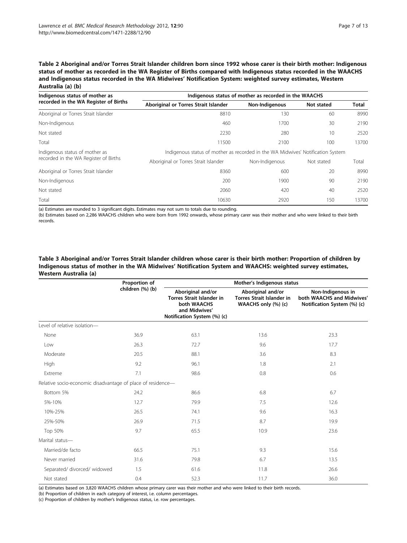<span id="page-6-0"></span>Table 2 Aboriginal and/or Torres Strait Islander children born since 1992 whose carer is their birth mother: Indigenous status of mother as recorded in the WA Register of Births compared with Indigenous status recorded in the WAACHS and Indigenous status recorded in the WA Midwives' Notification System: weighted survey estimates, Western Australia (a) (b)

| Indigenous status of mother as<br>recorded in the WA Register of Births | Indigenous status of mother as recorded in the WAACHS                           |                |            |              |  |
|-------------------------------------------------------------------------|---------------------------------------------------------------------------------|----------------|------------|--------------|--|
|                                                                         | Aboriginal or Torres Strait Islander                                            | Non-Indigenous | Not stated | <b>Total</b> |  |
| Aboriginal or Torres Strait Islander                                    | 8810                                                                            | 130            | 60         | 8990         |  |
| Non-Indigenous                                                          | 460                                                                             | 1700           | 30         | 2190         |  |
| Not stated                                                              | 2230                                                                            | 280            | 10         | 2520         |  |
| Total                                                                   | 11500                                                                           | 2100           | 100        | 13700        |  |
| Indigenous status of mother as                                          | Indigenous status of mother as recorded in the WA Midwives' Notification System |                |            |              |  |
| recorded in the WA Register of Births                                   | Aboriginal or Torres Strait Islander                                            | Non-Indigenous | Not stated | Total        |  |
| Aboriginal or Torres Strait Islander                                    | 8360                                                                            | 600            | 20         | 8990         |  |
| Non-Indigenous                                                          | 200                                                                             | 1900           | 90         | 2190         |  |
| Not stated                                                              | 2060                                                                            | 420            | 40         | 2520         |  |
| Total                                                                   | 10630                                                                           | 2920           | 150        | 13700        |  |

(a) Estimates are rounded to 3 significant digits. Estimates may not sum to totals due to rounding.

(b) Estimates based on 2,286 WAACHS children who were born from 1992 onwards, whose primary carer was their mother and who were linked to their birth records.

## Table 3 Aboriginal and/or Torres Strait Islander children whose carer is their birth mother: Proportion of children by Indigenous status of mother in the WA Midwives' Notification System and WAACHS: weighted survey estimates, Western Australia (a)

|                                                             | Proportion of<br>children (%) (b) | Mother's Indigenous status                                                                                           |                                                                                 |                                                                               |
|-------------------------------------------------------------|-----------------------------------|----------------------------------------------------------------------------------------------------------------------|---------------------------------------------------------------------------------|-------------------------------------------------------------------------------|
|                                                             |                                   | Aboriginal and/or<br><b>Torres Strait Islander in</b><br>both WAACHS<br>and Midwives'<br>Notification System (%) (c) | Aboriginal and/or<br><b>Torres Strait Islander in</b><br>WAACHS only $(\%)$ (c) | Non-Indigenous in<br>both WAACHS and Midwives'<br>Notification System (%) (c) |
| Level of relative isolation-                                |                                   |                                                                                                                      |                                                                                 |                                                                               |
| None                                                        | 36.9                              | 63.1                                                                                                                 | 13.6                                                                            | 23.3                                                                          |
| Low                                                         | 26.3                              | 72.7                                                                                                                 | 9.6                                                                             | 17.7                                                                          |
| Moderate                                                    | 20.5                              | 88.1                                                                                                                 | 3.6                                                                             | 8.3                                                                           |
| High                                                        | 9.2                               | 96.1                                                                                                                 | 1.8                                                                             | 2.1                                                                           |
| Extreme                                                     | 7.1                               | 98.6                                                                                                                 | 0.8                                                                             | 0.6                                                                           |
| Relative socio-economic disadvantage of place of residence- |                                   |                                                                                                                      |                                                                                 |                                                                               |
| Bottom 5%                                                   | 24.2                              | 86.6                                                                                                                 | 6.8                                                                             | 6.7                                                                           |
| 5%-10%                                                      | 12.7                              | 79.9                                                                                                                 | 7.5                                                                             | 12.6                                                                          |
| 10%-25%                                                     | 26.5                              | 74.1                                                                                                                 | 9.6                                                                             | 16.3                                                                          |
| 25%-50%                                                     | 26.9                              | 71.5                                                                                                                 | 8.7                                                                             | 19.9                                                                          |
| Top 50%                                                     | 9.7                               | 65.5                                                                                                                 | 10.9                                                                            | 23.6                                                                          |
| Marital status-                                             |                                   |                                                                                                                      |                                                                                 |                                                                               |
| Married/de facto                                            | 66.5                              | 75.1                                                                                                                 | 9.3                                                                             | 15.6                                                                          |
| Never married                                               | 31.6                              | 79.8                                                                                                                 | 6.7                                                                             | 13.5                                                                          |
| Separated/ divorced/ widowed                                | 1.5                               | 61.6                                                                                                                 | 11.8                                                                            | 26.6                                                                          |
| Not stated                                                  | 0.4                               | 52.3                                                                                                                 | 11.7                                                                            | 36.0                                                                          |

(a) Estimates based on 3,820 WAACHS children whose primary carer was their mother and who were linked to their birth records.

(b) Proportion of children in each category of interest, i.e. column percentages.

(c) Proportion of children by mother's Indigenous status, i.e. row percentages.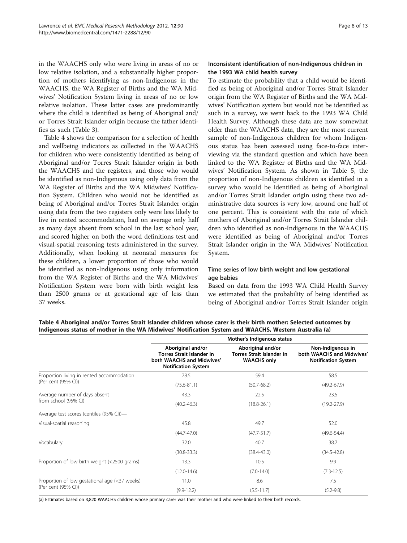in the WAACHS only who were living in areas of no or low relative isolation, and a substantially higher proportion of mothers identifying as non-Indigenous in the WAACHS, the WA Register of Births and the WA Midwives' Notification System living in areas of no or low relative isolation. These latter cases are predominantly where the child is identified as being of Aboriginal and/ or Torres Strait Islander origin because the father identifies as such (Table [3](#page-6-0)).

Table 4 shows the comparison for a selection of health and wellbeing indicators as collected in the WAACHS for children who were consistently identified as being of Aboriginal and/or Torres Strait Islander origin in both the WAACHS and the registers, and those who would be identified as non-Indigenous using only data from the WA Register of Births and the WA Midwives' Notification System. Children who would not be identified as being of Aboriginal and/or Torres Strait Islander origin using data from the two registers only were less likely to live in rented accommodation, had on average only half as many days absent from school in the last school year, and scored higher on both the word definitions test and visual-spatial reasoning tests administered in the survey. Additionally, when looking at neonatal measures for these children, a lower proportion of those who would be identified as non-Indigenous using only information from the WA Register of Births and the WA Midwives' Notification System were born with birth weight less than 2500 grams or at gestational age of less than 37 weeks.

## Inconsistent identification of non-Indigenous children in the 1993 WA child health survey

To estimate the probability that a child would be identified as being of Aboriginal and/or Torres Strait Islander origin from the WA Register of Births and the WA Midwives' Notification system but would not be identified as such in a survey, we went back to the 1993 WA Child Health Survey. Although these data are now somewhat older than the WAACHS data, they are the most current sample of non-Indigenous children for whom Indigenous status has been assessed using face-to-face interviewing via the standard question and which have been linked to the WA Register of Births and the WA Midwives' Notification System. As shown in Table [5](#page-8-0), the proportion of non-Indigenous children as identified in a survey who would be identified as being of Aboriginal and/or Torres Strait Islander origin using these two administrative data sources is very low, around one half of one percent. This is consistent with the rate of which mothers of Aboriginal and/or Torres Strait Islander children who identified as non-Indigenous in the WAACHS were identified as being of Aboriginal and/or Torres Strait Islander origin in the WA Midwives' Notification System.

## Time series of low birth weight and low gestational age babies

Based on data from the 1993 WA Child Health Survey we estimated that the probability of being identified as being of Aboriginal and/or Torres Strait Islander origin

|                                               |                                                                                                           | Mother's Indigenous status                                                  |                                                                              |
|-----------------------------------------------|-----------------------------------------------------------------------------------------------------------|-----------------------------------------------------------------------------|------------------------------------------------------------------------------|
|                                               | Aboriginal and/or<br>Torres Strait Islander in<br>both WAACHS and Midwives'<br><b>Notification System</b> | Aboriginal and/or<br><b>Torres Strait Islander in</b><br><b>WAACHS only</b> | Non-Indigenous in<br>both WAACHS and Midwives'<br><b>Notification System</b> |
| Proportion living in rented accommodation     | 78.5                                                                                                      | 59.4                                                                        | 58.5                                                                         |
| (Per cent (95% CI))                           | $(75.6 - 81.1)$                                                                                           | $(50.7 - 68.2)$                                                             | $(49.2 - 67.9)$                                                              |
| Average number of days absent                 | 43.3                                                                                                      | 22.5                                                                        | 23.5                                                                         |
| from school (95% CI)                          | $(40.2 - 46.3)$                                                                                           | $(18.8 - 26.1)$                                                             | $(19.2 - 27.9)$                                                              |
| Average test scores (centiles (95% CI))-      |                                                                                                           |                                                                             |                                                                              |
| Visual-spatial reasoning                      | 45.8                                                                                                      | 49.7                                                                        | 52.0                                                                         |
|                                               | $(44.7 - 47.0)$                                                                                           | $(47.7 - 51.7)$                                                             | $(49.6 - 54.4)$                                                              |
| Vocabulary                                    | 32.0                                                                                                      | 40.7                                                                        | 38.7                                                                         |
|                                               | $(30.8 - 33.3)$                                                                                           | $(38.4 - 43.0)$                                                             | $(34.5 - 42.8)$                                                              |
| Proportion of low birth weight (<2500 grams)  | 13.3                                                                                                      | 10.5                                                                        | 9.9                                                                          |
|                                               | $(12.0 - 14.6)$                                                                                           | $(7.0 - 14.0)$                                                              | $(7.3 - 12.5)$                                                               |
| Proportion of low gestational age (<37 weeks) | 11.0                                                                                                      | 8.6                                                                         | 7.5                                                                          |
| (Per cent (95% CI))                           | $(9.9 - 12.2)$                                                                                            | $(5.5 - 11.7)$                                                              | $(5.2 - 9.8)$                                                                |

Table 4 Aboriginal and/or Torres Strait Islander children whose carer is their birth mother: Selected outcomes by Indigenous status of mother in the WA Midwives' Notification System and WAACHS, Western Australia (a)

(a) Estimates based on 3,820 WAACHS children whose primary carer was their mother and who were linked to their birth records.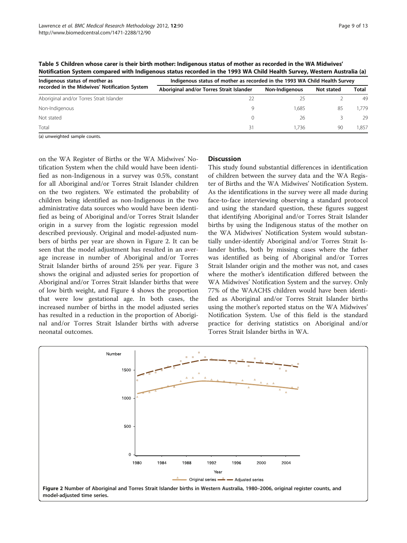| Indigenous status of mother as                | Indigenous status of mother as recorded in the 1993 WA Child Health Survey |                |            |              |
|-----------------------------------------------|----------------------------------------------------------------------------|----------------|------------|--------------|
| recorded in the Midwives' Notification System | Aboriginal and/or Torres Strait Islander                                   | Non-Indigenous | Not stated | <b>Total</b> |
| Aboriginal and/or Torres Strait Islander      |                                                                            |                |            | 49           |
| Non-Indigenous                                |                                                                            | 1.685          | 85         | 1.779        |
| Not stated                                    |                                                                            | 26             |            | 29           |
| Total                                         | 31                                                                         | 1.736          | 90         | 1.857        |

<span id="page-8-0"></span>Table 5 Children whose carer is their birth mother: Indigenous status of mother as recorded in the WA Midwives' Notification System compared with Indigenous status recorded in the 1993 WA Child Health Survey, Western Australia (a)

(a) unweighted sample counts.

on the WA Register of Births or the WA Midwives' Notification System when the child would have been identified as non-Indigenous in a survey was 0.5%, constant for all Aboriginal and/or Torres Strait Islander children on the two registers. We estimated the probability of children being identified as non-Indigenous in the two administrative data sources who would have been identified as being of Aboriginal and/or Torres Strait Islander origin in a survey from the logistic regression model described previously. Original and model-adjusted numbers of births per year are shown in Figure 2. It can be seen that the model adjustment has resulted in an average increase in number of Aboriginal and/or Torres Strait Islander births of around 25% per year. Figure [3](#page-9-0) shows the original and adjusted series for proportion of Aboriginal and/or Torres Strait Islander births that were of low birth weight, and Figure [4](#page-9-0) shows the proportion that were low gestational age. In both cases, the increased number of births in the model adjusted series has resulted in a reduction in the proportion of Aboriginal and/or Torres Strait Islander births with adverse neonatal outcomes.

#### **Discussion**

This study found substantial differences in identification of children between the survey data and the WA Register of Births and the WA Midwives' Notification System. As the identifications in the survey were all made during face-to-face interviewing observing a standard protocol and using the standard question, these figures suggest that identifying Aboriginal and/or Torres Strait Islander births by using the Indigenous status of the mother on the WA Midwives' Notification System would substantially under-identify Aboriginal and/or Torres Strait Islander births, both by missing cases where the father was identified as being of Aboriginal and/or Torres Strait Islander origin and the mother was not, and cases where the mother's identification differed between the WA Midwives' Notification System and the survey. Only 77% of the WAACHS children would have been identified as Aboriginal and/or Torres Strait Islander births using the mother's reported status on the WA Midwives' Notification System. Use of this field is the standard practice for deriving statistics on Aboriginal and/or Torres Strait Islander births in WA.

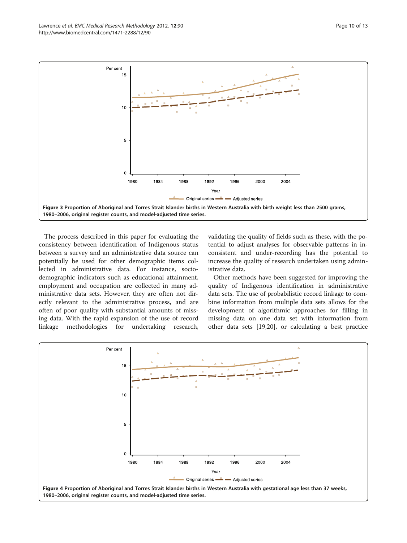<span id="page-9-0"></span>

The process described in this paper for evaluating the consistency between identification of Indigenous status between a survey and an administrative data source can potentially be used for other demographic items collected in administrative data. For instance, sociodemographic indicators such as educational attainment, employment and occupation are collected in many administrative data sets. However, they are often not directly relevant to the administrative process, and are often of poor quality with substantial amounts of missing data. With the rapid expansion of the use of record linkage methodologies for undertaking research, validating the quality of fields such as these, with the potential to adjust analyses for observable patterns in inconsistent and under-recording has the potential to increase the quality of research undertaken using administrative data.

Other methods have been suggested for improving the quality of Indigenous identification in administrative data sets. The use of probabilistic record linkage to combine information from multiple data sets allows for the development of algorithmic approaches for filling in missing data on one data set with information from other data sets [\[19,20](#page-12-0)], or calculating a best practice

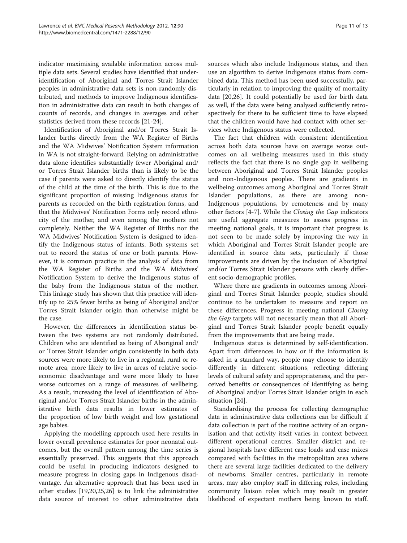indicator maximising available information across multiple data sets. Several studies have identified that underidentification of Aboriginal and Torres Strait Islander peoples in administrative data sets is non-randomly distributed, and methods to improve Indigenous identification in administrative data can result in both changes of counts of records, and changes in averages and other statistics derived from these records [[21](#page-12-0)-[24\]](#page-12-0).

Identification of Aboriginal and/or Torres Strait Islander births directly from the WA Register of Births and the WA Midwives' Notification System information in WA is not straight-forward. Relying on administrative data alone identifies substantially fewer Aboriginal and/ or Torres Strait Islander births than is likely to be the case if parents were asked to directly identify the status of the child at the time of the birth. This is due to the significant proportion of missing Indigenous status for parents as recorded on the birth registration forms, and that the Midwives' Notification Forms only record ethnicity of the mother, and even among the mothers not completely. Neither the WA Register of Births nor the WA Midwives' Notification System is designed to identify the Indigenous status of infants. Both systems set out to record the status of one or both parents. However, it is common practice in the analysis of data from the WA Register of Births and the WA Midwives' Notification System to derive the Indigenous status of the baby from the Indigenous status of the mother. This linkage study has shown that this practice will identify up to 25% fewer births as being of Aboriginal and/or Torres Strait Islander origin than otherwise might be the case.

However, the differences in identification status between the two systems are not randomly distributed. Children who are identified as being of Aboriginal and/ or Torres Strait Islander origin consistently in both data sources were more likely to live in a regional, rural or remote area, more likely to live in areas of relative socioeconomic disadvantage and were more likely to have worse outcomes on a range of measures of wellbeing. As a result, increasing the level of identification of Aboriginal and/or Torres Strait Islander births in the administrative birth data results in lower estimates of the proportion of low birth weight and low gestational age babies.

Applying the modelling approach used here results in lower overall prevalence estimates for poor neonatal outcomes, but the overall pattern among the time series is essentially preserved. This suggests that this approach could be useful in producing indicators designed to measure progress in closing gaps in Indigenous disadvantage. An alternative approach that has been used in other studies [[19](#page-12-0),[20](#page-12-0),[25,26](#page-12-0)] is to link the administrative data source of interest to other administrative data

sources which also include Indigenous status, and then use an algorithm to derive Indigenous status from combined data. This method has been used successfully, particularly in relation to improving the quality of mortality data [\[20,26](#page-12-0)]. It could potentially be used for birth data as well, if the data were being analysed sufficiently retrospectively for there to be sufficient time to have elapsed that the children would have had contact with other services where Indigenous status were collected.

The fact that children with consistent identification across both data sources have on average worse outcomes on all wellbeing measures used in this study reflects the fact that there is no single gap in wellbeing between Aboriginal and Torres Strait Islander peoples and non-Indigenous peoples. There are gradients in wellbeing outcomes among Aboriginal and Torres Strait Islander populations, as there are among non-Indigenous populations, by remoteness and by many other factors [\[4](#page-12-0)-[7\]](#page-12-0). While the Closing the Gap indicators are useful aggregate measures to assess progress in meeting national goals, it is important that progress is not seen to be made solely by improving the way in which Aboriginal and Torres Strait Islander people are identified in source data sets, particularly if those improvements are driven by the inclusion of Aboriginal and/or Torres Strait Islander persons with clearly different socio-demographic profiles.

Where there are gradients in outcomes among Aboriginal and Torres Strait Islander people, studies should continue to be undertaken to measure and report on these differences. Progress in meeting national Closing the Gap targets will not necessarily mean that all Aboriginal and Torres Strait Islander people benefit equally from the improvements that are being made.

Indigenous status is determined by self-identification. Apart from differences in how or if the information is asked in a standard way, people may choose to identify differently in different situations, reflecting differing levels of cultural safety and appropriateness, and the perceived benefits or consequences of identifying as being of Aboriginal and/or Torres Strait Islander origin in each situation [\[24](#page-12-0)].

Standardising the process for collecting demographic data in administrative data collections can be difficult if data collection is part of the routine activity of an organisation and that activity itself varies in context between different operational centres. Smaller district and regional hospitals have different case loads and case mixes compared with facilities in the metropolitan area where there are several large facilities dedicated to the delivery of newborns. Smaller centres, particularly in remote areas, may also employ staff in differing roles, including community liaison roles which may result in greater likelihood of expectant mothers being known to staff.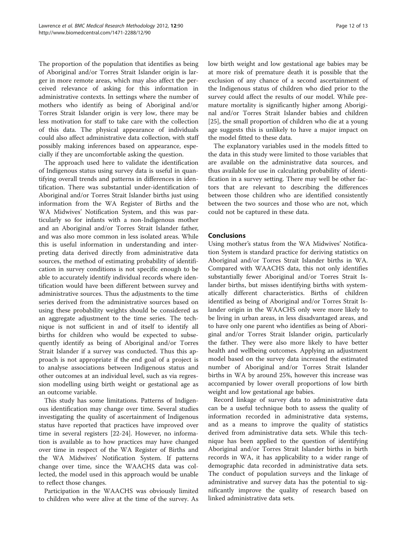The proportion of the population that identifies as being of Aboriginal and/or Torres Strait Islander origin is larger in more remote areas, which may also affect the perceived relevance of asking for this information in administrative contexts. In settings where the number of mothers who identify as being of Aboriginal and/or Torres Strait Islander origin is very low, there may be less motivation for staff to take care with the collection of this data. The physical appearance of individuals could also affect administrative data collection, with staff possibly making inferences based on appearance, especially if they are uncomfortable asking the question.

The approach used here to validate the identification of Indigenous status using survey data is useful in quantifying overall trends and patterns in differences in identification. There was substantial under-identification of Aboriginal and/or Torres Strait Islander births just using information from the WA Register of Births and the WA Midwives' Notification System, and this was particularly so for infants with a non-Indigenous mother and an Aboriginal and/or Torres Strait Islander father, and was also more common in less isolated areas. While this is useful information in understanding and interpreting data derived directly from administrative data sources, the method of estimating probability of identification in survey conditions is not specific enough to be able to accurately identify individual records where identification would have been different between survey and administrative sources. Thus the adjustments to the time series derived from the administrative sources based on using these probability weights should be considered as an aggregate adjustment to the time series. The technique is not sufficient in and of itself to identify all births for children who would be expected to subsequently identify as being of Aboriginal and/or Torres Strait Islander if a survey was conducted. Thus this approach is not appropriate if the end goal of a project is to analyse associations between Indigenous status and other outcomes at an individual level, such as via regression modelling using birth weight or gestational age as an outcome variable.

This study has some limitations. Patterns of Indigenous identification may change over time. Several studies investigating the quality of ascertainment of Indigenous status have reported that practices have improved over time in several registers [[22-24](#page-12-0)]. However, no information is available as to how practices may have changed over time in respect of the WA Register of Births and the WA Midwives' Notification System. If patterns change over time, since the WAACHS data was collected, the model used in this approach would be unable to reflect those changes.

Participation in the WAACHS was obviously limited to children who were alive at the time of the survey. As low birth weight and low gestational age babies may be at more risk of premature death it is possible that the exclusion of any chance of a second ascertainment of the Indigenous status of children who died prior to the survey could affect the results of our model. While premature mortality is significantly higher among Aboriginal and/or Torres Strait Islander babies and children [[25\]](#page-12-0), the small proportion of children who die at a young age suggests this is unlikely to have a major impact on the model fitted to these data.

The explanatory variables used in the models fitted to the data in this study were limited to those variables that are available on the administrative data sources, and thus available for use in calculating probability of identification in a survey setting. There may well be other factors that are relevant to describing the differences between those children who are identified consistently between the two sources and those who are not, which could not be captured in these data.

## Conclusions

Using mother's status from the WA Midwives' Notification System is standard practice for deriving statistics on Aboriginal and/or Torres Strait Islander births in WA. Compared with WAACHS data, this not only identifies substantially fewer Aboriginal and/or Torres Strait Islander births, but misses identifying births with systematically different characteristics. Births of children identified as being of Aboriginal and/or Torres Strait Islander origin in the WAACHS only were more likely to be living in urban areas, in less disadvantaged areas, and to have only one parent who identifies as being of Aboriginal and/or Torres Strait Islander origin, particularly the father. They were also more likely to have better health and wellbeing outcomes. Applying an adjustment model based on the survey data increased the estimated number of Aboriginal and/or Torres Strait Islander births in WA by around 25%, however this increase was accompanied by lower overall proportions of low birth weight and low gestational age babies.

Record linkage of survey data to administrative data can be a useful technique both to assess the quality of information recorded in administrative data systems, and as a means to improve the quality of statistics derived from administrative data sets. While this technique has been applied to the question of identifying Aboriginal and/or Torres Strait Islander births in birth records in WA, it has applicability to a wider range of demographic data recorded in administrative data sets. The conduct of population surveys and the linkage of administrative and survey data has the potential to significantly improve the quality of research based on linked administrative data sets.